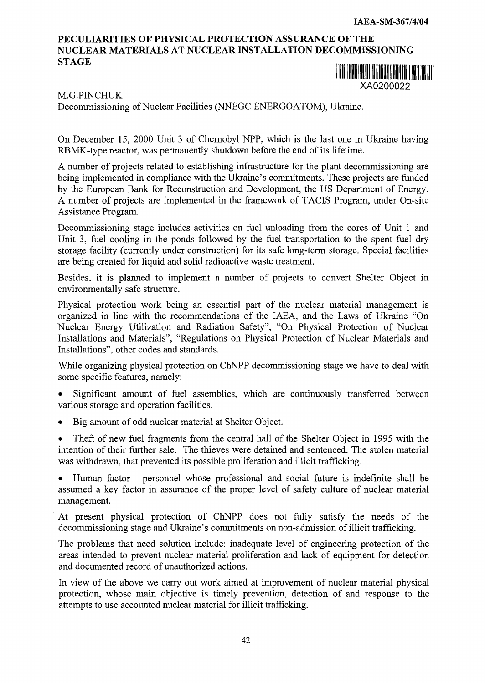## **PECULIARITIES OF PHYSICAL PROTECTION ASSURANCE OF THE NUCLEAR MATERIALS AT NUCLEAR INSTALLATION DECOMMISSIONING STAGE**



## M.G.PINCHUK

Decommissioning of Nuclear Facilities (NNEGC ENERGOATOM), Ukraine.

On December 15, 2000 Unit 3 of Chernobyl NPP, which is the last one in Ukraine having RBMK-type reactor, was permanently shutdown before the end of its lifetime.

A number of projects related to establishing infrastructure for the plant decommissioning are being implemented in compliance with the Ukraine's commitments. These projects are funded by the European Bank for Reconstruction and Development, the US Department of Energy. A number of projects are implemented in the framework of TACIS Program, under On-site Assistance Program.

Decommissioning stage includes activities on fuel unloading from the cores of Unit 1 and Unit 3, fuel cooling in the ponds followed by the fuel transportation to the spent fuel dry storage facility (currently under construction) for its safe long-term storage. Special facilities are being created for liquid and solid radioactive waste treatment.

Besides, it is planned to implement a number of projects to convert Shelter Object in environmentally safe structure.

Physical protection work being an essential part of the nuclear material management is organized in line with the recommendations of the IAEA, and the Laws of Ukraine "On Nuclear Energy Utilization and Radiation Safety", "On Physical Protection of Nuclear Installations and Materials", "Regulations on Physical Protection of Nuclear Materials and Installations", other codes and standards.

While organizing physical protection on ChNPP decommissioning stage we have to deal with some specific features, namely:

- Significant amount of fuel assemblies, which are continuously transferred between various storage and operation facilities.
- Big amount of odd nuclear material at Shelter Object.
- Theft of new fuel fragments from the central hall of the Shelter Object in 1995 with the intention of their further sale. The thieves were detained and sentenced. The stolen material was withdrawn, that prevented its possible proliferation and illicit trafficking.

• Human factor - personnel whose professional and social future is indefinite shall be assumed a key factor in assurance of the proper level of safety culture of nuclear material management.

At present physical protection of ChNPP does not fully satisfy the needs of the decommissioning stage and Ukraine's commitments on non-admission of illicit trafficking.

The problems that need solution include: inadequate level of engineering protection of the areas intended to prevent nuclear material proliferation and lack of equipment for detection and documented record of unauthorized actions.

In view of the above we carry out work aimed at improvement of nuclear material physical protection, whose main objective is timely prevention, detection of and response to the attempts to use accounted nuclear material for illicit trafficking.